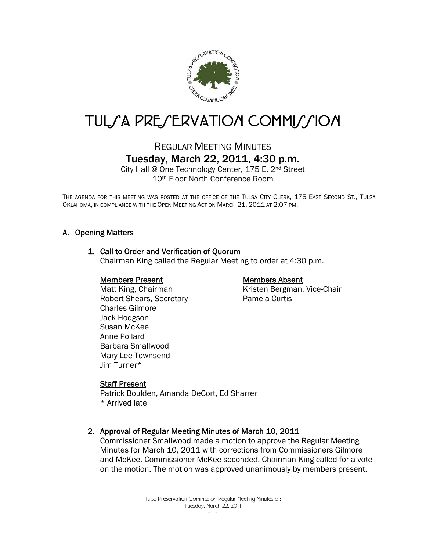

# TUL/A PRE/ERVATION COMMI//ION

# REGULAR MEETING MINUTES Tuesday, March 22, 2011, 4:30 p.m.

City Hall @ One Technology Center, 175 E. 2nd Street 10th Floor North Conference Room

THE AGENDA FOR THIS MEETING WAS POSTED AT THE OFFICE OF THE TULSA CITY CLERK, 175 EAST SECOND ST., TULSA OKLAHOMA, IN COMPLIANCE WITH THE OPEN MEETING ACT ON MARCH 21, 2011 AT 2:07 PM.

# A. Opening Matters

#### 1. Call to Order and Verification of Quorum

Chairman King called the Regular Meeting to order at 4:30 p.m.

#### Members Present

Matt King, Chairman Robert Shears, Secretary Charles Gilmore Jack Hodgson Susan McKee Anne Pollard Barbara Smallwood Mary Lee Townsend Jim Turner\*

#### Members Absent

Kristen Bergman, Vice-Chair Pamela Curtis

#### Staff Present

Patrick Boulden, Amanda DeCort, Ed Sharrer \* Arrived late

#### 2. Approval of Regular Meeting Minutes of March 10, 2011

Commissioner Smallwood made a motion to approve the Regular Meeting Minutes for March 10, 2011 with corrections from Commissioners Gilmore and McKee. Commissioner McKee seconded. Chairman King called for a vote on the motion. The motion was approved unanimously by members present.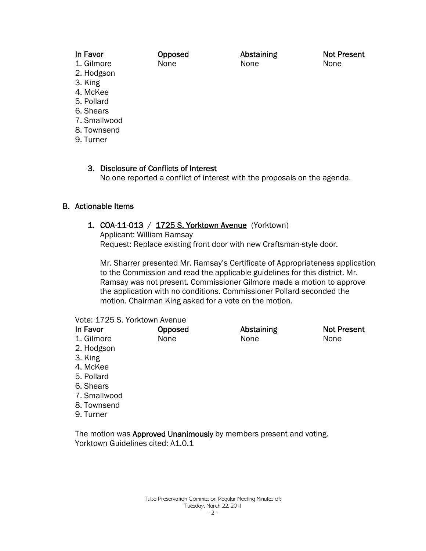#### In Favor

Opposed None

**Abstaining** None

Not Present None

- 1. Gilmore 2. Hodgson
- 3. King
- 4. McKee
- 5. Pollard
- 6. Shears
- 7. Smallwood
- 8. Townsend
- 9. Turner

3. Disclosure of Conflicts of Interest No one reported a conflict of interest with the proposals on the agenda.

# B. Actionable Items

# 1. COA-11-013 / 1725 S. Yorktown Avenue (Yorktown)

Applicant: William Ramsay Request: Replace existing front door with new Craftsman-style door.

Mr. Sharrer presented Mr. Ramsay's Certificate of Appropriateness application to the Commission and read the applicable guidelines for this district. Mr. Ramsay was not present. Commissioner Gilmore made a motion to approve the application with no conditions. Commissioner Pollard seconded the motion. Chairman King asked for a vote on the motion.

#### Vote: 1725 S. Yorktown Avenue

| In Favor     | <b>Opposed</b> | <b>Abstaining</b> | <b>Not Present</b> |
|--------------|----------------|-------------------|--------------------|
| 1. Gilmore   | None           | None              | None               |
| 2. Hodgson   |                |                   |                    |
| 3. King      |                |                   |                    |
| 4. McKee     |                |                   |                    |
| 5. Pollard   |                |                   |                    |
| 6. Shears    |                |                   |                    |
| 7. Smallwood |                |                   |                    |
| 8. Townsend  |                |                   |                    |
| 9. Turner    |                |                   |                    |

The motion was Approved Unanimously by members present and voting. Yorktown Guidelines cited: A1.0.1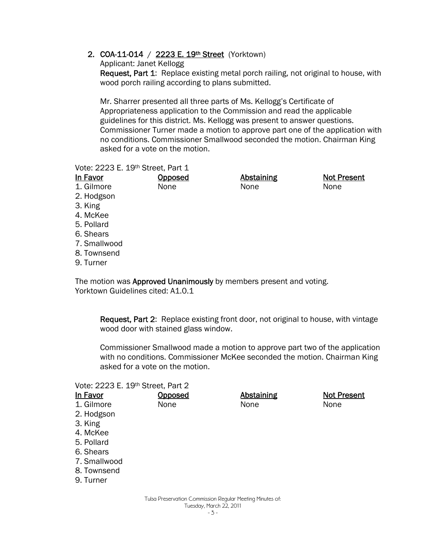2. COA-11-014 / 2223 E. 19th Street (Yorktown)

Applicant: Janet Kellogg

Request, Part 1: Replace existing metal porch railing, not original to house, with wood porch railing according to plans submitted.

Mr. Sharrer presented all three parts of Ms. Kellogg's Certificate of Appropriateness application to the Commission and read the applicable guidelines for this district. Ms. Kellogg was present to answer questions. Commissioner Turner made a motion to approve part one of the application with no conditions. Commissioner Smallwood seconded the motion. Chairman King asked for a vote on the motion.

#### Vote: 2223 E. 19th Street, Part 1

| In Favor     | <u>Opposed</u> | <b>Abstaining</b> | <b>Not Present</b> |
|--------------|----------------|-------------------|--------------------|
| 1. Gilmore   | None           | None              | None               |
| 2. Hodgson   |                |                   |                    |
| 3. King      |                |                   |                    |
| 4. McKee     |                |                   |                    |
| 5. Pollard   |                |                   |                    |
| 6. Shears    |                |                   |                    |
| 7. Smallwood |                |                   |                    |
| 8. Townsend  |                |                   |                    |
| 9. Turner    |                |                   |                    |
|              |                |                   |                    |

The motion was **Approved Unanimously** by members present and voting. Yorktown Guidelines cited: A1.0.1

Request, Part 2: Replace existing front door, not original to house, with vintage wood door with stained glass window.

Commissioner Smallwood made a motion to approve part two of the application with no conditions. Commissioner McKee seconded the motion. Chairman King asked for a vote on the motion.

#### Vote: 2223 E. 19th Street, Part 2

| In Favor     | Opposed | <b>Abstaining</b> | <b>Not Present</b> |
|--------------|---------|-------------------|--------------------|
| 1. Gilmore   | None    | None              | None               |
| 2. Hodgson   |         |                   |                    |
| 3. King      |         |                   |                    |
| 4. McKee     |         |                   |                    |
| 5. Pollard   |         |                   |                    |
| 6. Shears    |         |                   |                    |
| 7. Smallwood |         |                   |                    |
| 8. Townsend  |         |                   |                    |
| 9. Turner    |         |                   |                    |
|              |         |                   |                    |
|              |         |                   |                    |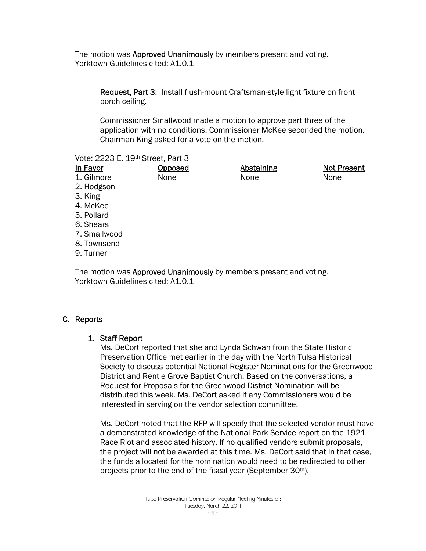The motion was **Approved Unanimously** by members present and voting. Yorktown Guidelines cited: A1.0.1

Request, Part 3: Install flush-mount Craftsman-style light fixture on front porch ceiling.

Commissioner Smallwood made a motion to approve part three of the application with no conditions. Commissioner McKee seconded the motion. Chairman King asked for a vote on the motion.

Vote: 2223 E. 19th Street, Part 3

| In Favor     | <b>Opposed</b> | <b>Abstaining</b> | <b>Not Present</b> |
|--------------|----------------|-------------------|--------------------|
| 1. Gilmore   | None           | None              | None               |
| 2. Hodgson   |                |                   |                    |
| 3. King      |                |                   |                    |
| 4. McKee     |                |                   |                    |
| 5. Pollard   |                |                   |                    |
| 6. Shears    |                |                   |                    |
| 7. Smallwood |                |                   |                    |
| 8. Townsend  |                |                   |                    |
| 9. Turner    |                |                   |                    |
|              |                |                   |                    |

The motion was Approved Unanimously by members present and voting. Yorktown Guidelines cited: A1.0.1

# C. Reports

# 1. Staff Report

Ms. DeCort reported that she and Lynda Schwan from the State Historic Preservation Office met earlier in the day with the North Tulsa Historical Society to discuss potential National Register Nominations for the Greenwood District and Rentie Grove Baptist Church. Based on the conversations, a Request for Proposals for the Greenwood District Nomination will be distributed this week. Ms. DeCort asked if any Commissioners would be interested in serving on the vendor selection committee.

Ms. DeCort noted that the RFP will specify that the selected vendor must have a demonstrated knowledge of the National Park Service report on the 1921 Race Riot and associated history. If no qualified vendors submit proposals, the project will not be awarded at this time. Ms. DeCort said that in that case, the funds allocated for the nomination would need to be redirected to other projects prior to the end of the fiscal year (September 30<sup>th</sup>).